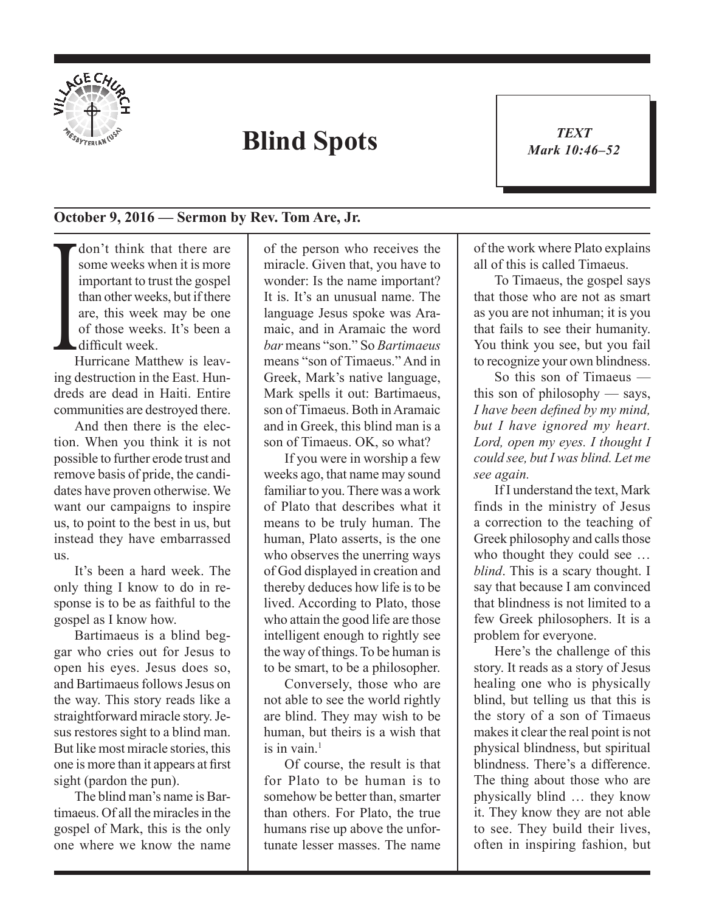

## **Blind Spots**

*TEXT Mark 10:46–52* 1

## **October 9, 2016 — Sermon by Rev. Tom Are, Jr.**

 $\prod$ don't think that there are some weeks when it is more important to trust the gospel than other weeks, but if there are, this week may be one of those weeks. It's been a difficult week.

Hurricane Matthew is leaving destruction in the East. Hundreds are dead in Haiti. Entire communities are destroyed there.

And then there is the election. When you think it is not possible to further erode trust and remove basis of pride, the candidates have proven otherwise. We want our campaigns to inspire us, to point to the best in us, but instead they have embarrassed us.

It's been a hard week. The only thing I know to do in response is to be as faithful to the gospel as I know how.

Bartimaeus is a blind beggar who cries out for Jesus to open his eyes. Jesus does so, and Bartimaeus follows Jesus on the way. This story reads like a straightforward miracle story. Jesus restores sight to a blind man. But like most miracle stories, this one is more than it appears at first sight (pardon the pun).

The blind man's name is Bartimaeus. Of all the miracles in the gospel of Mark, this is the only one where we know the name of the person who receives the miracle. Given that, you have to wonder: Is the name important? It is. It's an unusual name. The language Jesus spoke was Aramaic, and in Aramaic the word *bar* means "son." So *Bartimaeus* means "son of Timaeus." And in Greek, Mark's native language, Mark spells it out: Bartimaeus, son of Timaeus. Both in Aramaic and in Greek, this blind man is a son of Timaeus. OK, so what?

If you were in worship a few weeks ago, that name may sound familiar to you. There was a work of Plato that describes what it means to be truly human. The human, Plato asserts, is the one who observes the unerring ways of God displayed in creation and thereby deduces how life is to be lived. According to Plato, those who attain the good life are those intelligent enough to rightly see the way of things. To be human is to be smart, to be a philosopher.

Conversely, those who are not able to see the world rightly are blind. They may wish to be human, but theirs is a wish that is in vain $1$ 

Of course, the result is that for Plato to be human is to somehow be better than, smarter than others. For Plato, the true humans rise up above the unfortunate lesser masses. The name of the work where Plato explains all of this is called Timaeus.

To Timaeus, the gospel says that those who are not as smart as you are not inhuman; it is you that fails to see their humanity. You think you see, but you fail to recognize your own blindness.

So this son of Timaeus this son of philosophy — says, *I have been defined by my mind, but I have ignored my heart. Lord, open my eyes. I thought I could see, but I was blind. Let me see again.*

If I understand the text, Mark finds in the ministry of Jesus a correction to the teaching of Greek philosophy and calls those who thought they could see … *blind*. This is a scary thought. I say that because I am convinced that blindness is not limited to a few Greek philosophers. It is a problem for everyone.

Here's the challenge of this story. It reads as a story of Jesus healing one who is physically blind, but telling us that this is the story of a son of Timaeus makes it clear the real point is not physical blindness, but spiritual blindness. There's a difference. The thing about those who are physically blind … they know it. They know they are not able to see. They build their lives, often in inspiring fashion, but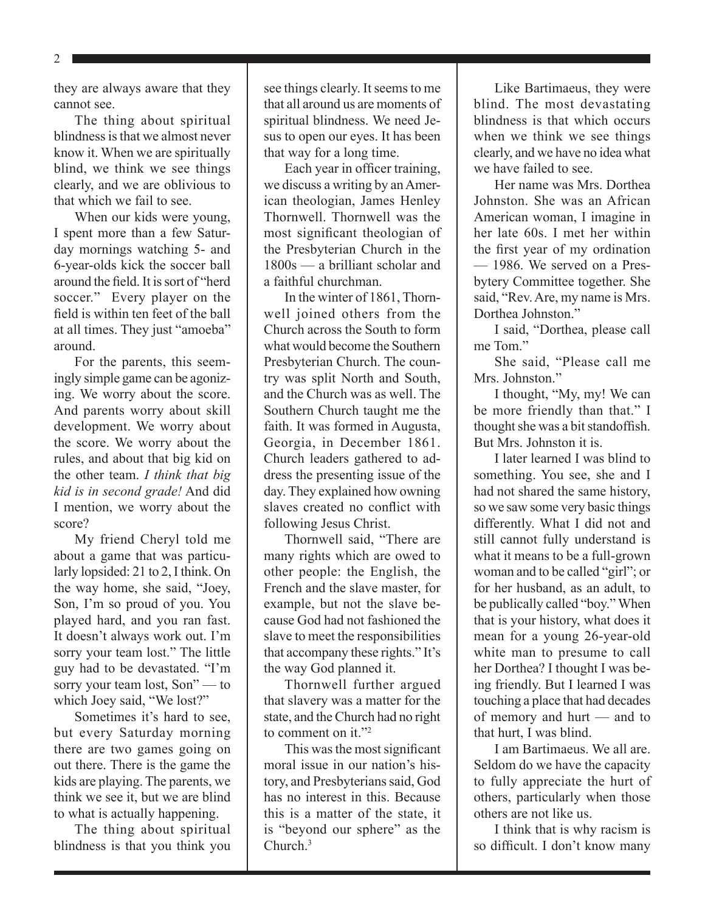2

they are always aware that they cannot see.

The thing about spiritual blindness is that we almost never know it. When we are spiritually blind, we think we see things clearly, and we are oblivious to that which we fail to see.

When our kids were young, I spent more than a few Saturday mornings watching 5- and 6-year-olds kick the soccer ball around the field. It is sort of "herd soccer." Every player on the field is within ten feet of the ball at all times. They just "amoeba" around.

For the parents, this seemingly simple game can be agonizing. We worry about the score. And parents worry about skill development. We worry about the score. We worry about the rules, and about that big kid on the other team. *I think that big kid is in second grade!* And did I mention, we worry about the score?

My friend Cheryl told me about a game that was particularly lopsided: 21 to 2, I think. On the way home, she said, "Joey, Son, I'm so proud of you. You played hard, and you ran fast. It doesn't always work out. I'm sorry your team lost." The little guy had to be devastated. "I'm sorry your team lost, Son" — to which Joey said, "We lost?"

Sometimes it's hard to see, but every Saturday morning there are two games going on out there. There is the game the kids are playing. The parents, we think we see it, but we are blind to what is actually happening.

The thing about spiritual blindness is that you think you see things clearly. It seems to me that all around us are moments of spiritual blindness. We need Jesus to open our eyes. It has been that way for a long time.

Each year in officer training, we discuss a writing by an American theologian, James Henley Thornwell. Thornwell was the most significant theologian of the Presbyterian Church in the 1800s — a brilliant scholar and a faithful churchman.

In the winter of 1861, Thornwell joined others from the Church across the South to form what would become the Southern Presbyterian Church. The country was split North and South, and the Church was as well. The Southern Church taught me the faith. It was formed in Augusta, Georgia, in December 1861. Church leaders gathered to address the presenting issue of the day. They explained how owning slaves created no conflict with following Jesus Christ.

Thornwell said, "There are many rights which are owed to other people: the English, the French and the slave master, for example, but not the slave because God had not fashioned the slave to meet the responsibilities that accompany these rights." It's the way God planned it.

Thornwell further argued that slavery was a matter for the state, and the Church had no right to comment on it."<sup>2</sup>

This was the most significant moral issue in our nation's history, and Presbyterians said, God has no interest in this. Because this is a matter of the state, it is "beyond our sphere" as the Church<sup>3</sup>

Like Bartimaeus, they were blind. The most devastating blindness is that which occurs when we think we see things clearly, and we have no idea what we have failed to see.

Her name was Mrs. Dorthea Johnston. She was an African American woman, I imagine in her late 60s. I met her within the first year of my ordination — 1986. We served on a Presbytery Committee together. She said, "Rev. Are, my name is Mrs. Dorthea Johnston<sup>"</sup>

I said, "Dorthea, please call me Tom."

She said, "Please call me Mrs. Johnston."

I thought, "My, my! We can be more friendly than that." I thought she was a bit standoffish. But Mrs. Johnston it is.

I later learned I was blind to something. You see, she and I had not shared the same history, so we saw some very basic things differently. What I did not and still cannot fully understand is what it means to be a full-grown woman and to be called "girl"; or for her husband, as an adult, to be publically called "boy." When that is your history, what does it mean for a young 26-year-old white man to presume to call her Dorthea? I thought I was being friendly. But I learned I was touching a place that had decades of memory and hurt — and to that hurt, I was blind.

I am Bartimaeus. We all are. Seldom do we have the capacity to fully appreciate the hurt of others, particularly when those others are not like us.

I think that is why racism is so difficult. I don't know many